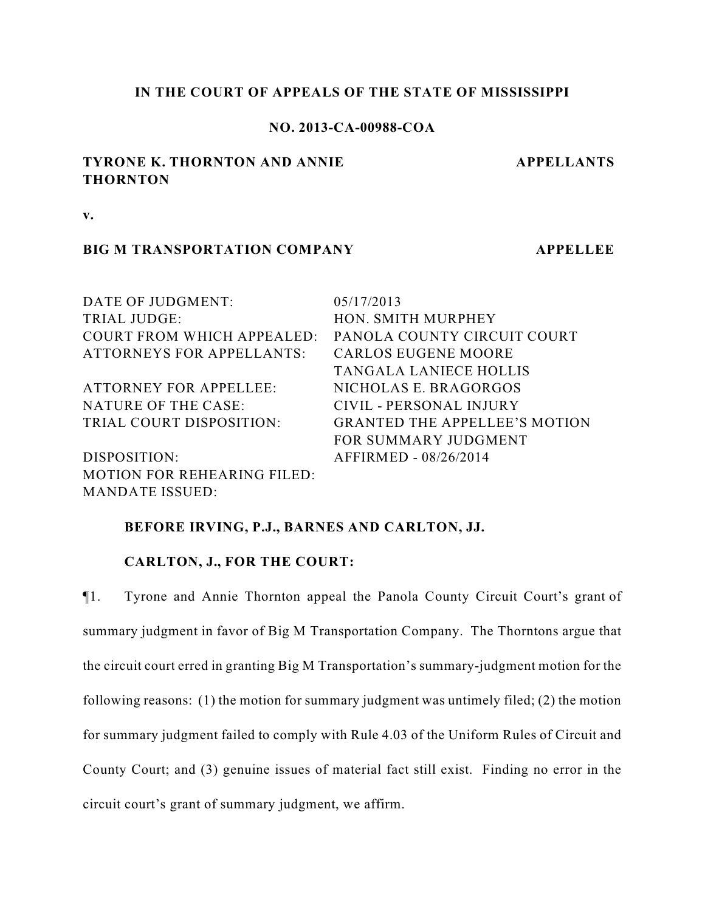## **IN THE COURT OF APPEALS OF THE STATE OF MISSISSIPPI**

## **NO. 2013-CA-00988-COA**

# **TYRONE K. THORNTON AND ANNIE THORNTON**

**APPELLANTS**

**v.**

## **BIG M TRANSPORTATION COMPANY APPELLEE**

| DATE OF JUDGMENT:                  | 05/17/2013                           |
|------------------------------------|--------------------------------------|
| TRIAL JUDGE:                       | HON. SMITH MURPHEY                   |
| <b>COURT FROM WHICH APPEALED:</b>  | PANOLA COUNTY CIRCUIT COURT          |
| <b>ATTORNEYS FOR APPELLANTS:</b>   | <b>CARLOS EUGENE MOORE</b>           |
|                                    | <b>TANGALA LANIECE HOLLIS</b>        |
| <b>ATTORNEY FOR APPELLEE:</b>      | NICHOLAS E. BRAGORGOS                |
| NATURE OF THE CASE:                | CIVIL - PERSONAL INJURY              |
| TRIAL COURT DISPOSITION:           | <b>GRANTED THE APPELLEE'S MOTION</b> |
|                                    | FOR SUMMARY JUDGMENT                 |
| DISPOSITION:                       | AFFIRMED - 08/26/2014                |
| <b>MOTION FOR REHEARING FILED:</b> |                                      |
| <b>MANDATE ISSUED:</b>             |                                      |

## **BEFORE IRVING, P.J., BARNES AND CARLTON, JJ.**

### **CARLTON, J., FOR THE COURT:**

¶1. Tyrone and Annie Thornton appeal the Panola County Circuit Court's grant of summary judgment in favor of Big M Transportation Company. The Thorntons argue that the circuit court erred in granting Big M Transportation's summary-judgment motion for the following reasons: (1) the motion for summary judgment was untimely filed; (2) the motion for summary judgment failed to comply with Rule 4.03 of the Uniform Rules of Circuit and County Court; and (3) genuine issues of material fact still exist. Finding no error in the circuit court's grant of summary judgment, we affirm.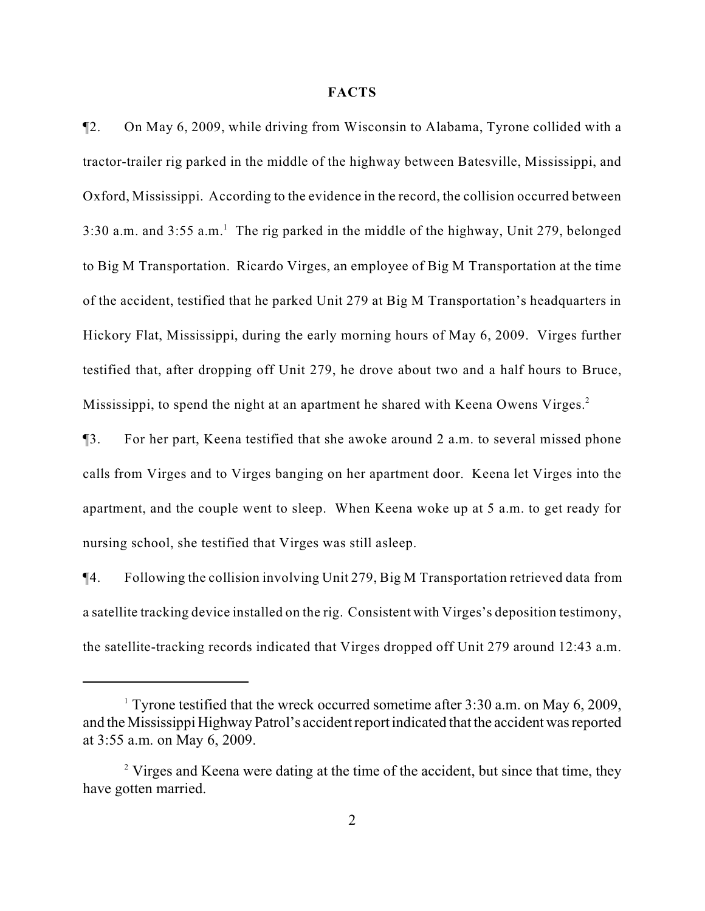#### **FACTS**

¶2. On May 6, 2009, while driving from Wisconsin to Alabama, Tyrone collided with a tractor-trailer rig parked in the middle of the highway between Batesville, Mississippi, and Oxford, Mississippi. According to the evidence in the record, the collision occurred between 3:30 a.m. and  $3:55$  a.m.<sup>1</sup> The rig parked in the middle of the highway, Unit 279, belonged to Big M Transportation. Ricardo Virges, an employee of Big M Transportation at the time of the accident, testified that he parked Unit 279 at Big M Transportation's headquarters in Hickory Flat, Mississippi, during the early morning hours of May 6, 2009. Virges further testified that, after dropping off Unit 279, he drove about two and a half hours to Bruce, Mississippi, to spend the night at an apartment he shared with Keena Owens Virges.<sup>2</sup>

¶3. For her part, Keena testified that she awoke around 2 a.m. to several missed phone calls from Virges and to Virges banging on her apartment door. Keena let Virges into the apartment, and the couple went to sleep. When Keena woke up at 5 a.m. to get ready for nursing school, she testified that Virges was still asleep.

¶4. Following the collision involving Unit 279, Big M Transportation retrieved data from a satellite tracking device installed on the rig. Consistent with Virges's deposition testimony, the satellite-tracking records indicated that Virges dropped off Unit 279 around 12:43 a.m.

<sup>&</sup>lt;sup>1</sup> Tyrone testified that the wreck occurred sometime after  $3:30$  a.m. on May 6, 2009, and the Mississippi Highway Patrol's accident report indicated that the accident was reported at 3:55 a.m. on May 6, 2009.

 $\alpha$ <sup>2</sup> Virges and Keena were dating at the time of the accident, but since that time, they have gotten married.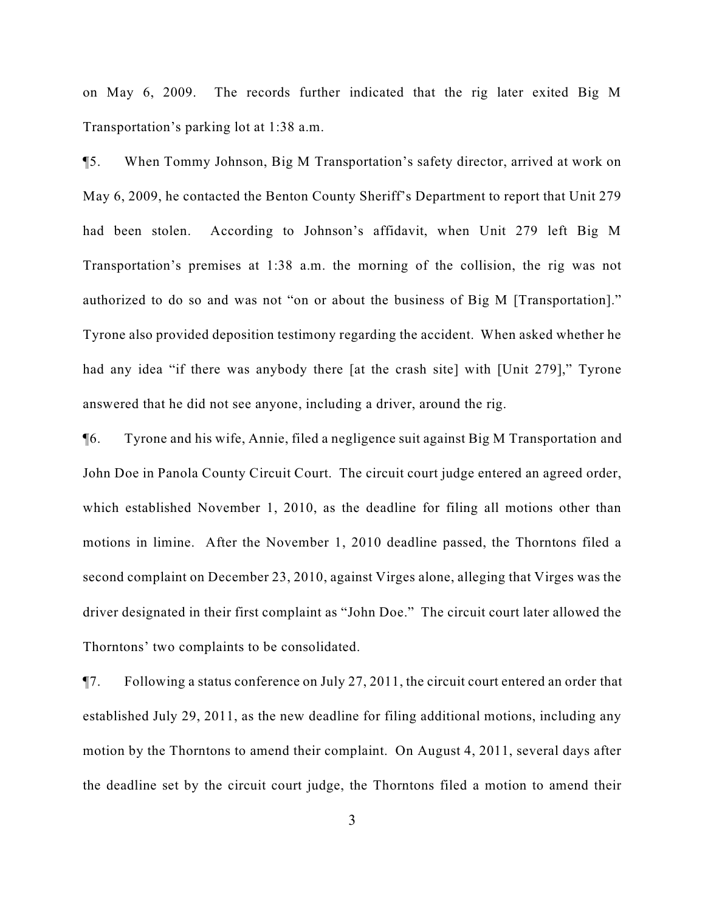on May 6, 2009. The records further indicated that the rig later exited Big M Transportation's parking lot at 1:38 a.m.

¶5. When Tommy Johnson, Big M Transportation's safety director, arrived at work on May 6, 2009, he contacted the Benton County Sheriff's Department to report that Unit 279 had been stolen. According to Johnson's affidavit, when Unit 279 left Big M Transportation's premises at 1:38 a.m. the morning of the collision, the rig was not authorized to do so and was not "on or about the business of Big M [Transportation]." Tyrone also provided deposition testimony regarding the accident. When asked whether he had any idea "if there was anybody there [at the crash site] with [Unit 279]," Tyrone answered that he did not see anyone, including a driver, around the rig.

¶6. Tyrone and his wife, Annie, filed a negligence suit against Big M Transportation and John Doe in Panola County Circuit Court. The circuit court judge entered an agreed order, which established November 1, 2010, as the deadline for filing all motions other than motions in limine. After the November 1, 2010 deadline passed, the Thorntons filed a second complaint on December 23, 2010, against Virges alone, alleging that Virges was the driver designated in their first complaint as "John Doe." The circuit court later allowed the Thorntons' two complaints to be consolidated.

¶7. Following a status conference on July 27, 2011, the circuit court entered an order that established July 29, 2011, as the new deadline for filing additional motions, including any motion by the Thorntons to amend their complaint. On August 4, 2011, several days after the deadline set by the circuit court judge, the Thorntons filed a motion to amend their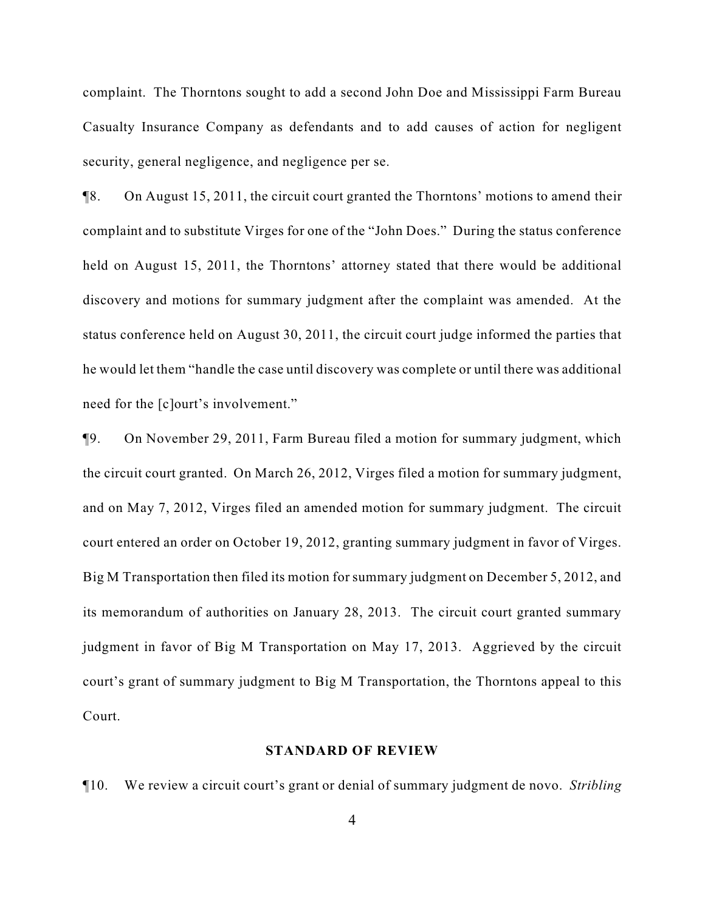complaint. The Thorntons sought to add a second John Doe and Mississippi Farm Bureau Casualty Insurance Company as defendants and to add causes of action for negligent security, general negligence, and negligence per se.

¶8. On August 15, 2011, the circuit court granted the Thorntons' motions to amend their complaint and to substitute Virges for one of the "John Does." During the status conference held on August 15, 2011, the Thorntons' attorney stated that there would be additional discovery and motions for summary judgment after the complaint was amended. At the status conference held on August 30, 2011, the circuit court judge informed the parties that he would let them "handle the case until discovery was complete or until there was additional need for the [c]ourt's involvement."

¶9. On November 29, 2011, Farm Bureau filed a motion for summary judgment, which the circuit court granted. On March 26, 2012, Virges filed a motion for summary judgment, and on May 7, 2012, Virges filed an amended motion for summary judgment. The circuit court entered an order on October 19, 2012, granting summary judgment in favor of Virges. Big M Transportation then filed its motion for summary judgment on December 5, 2012, and its memorandum of authorities on January 28, 2013. The circuit court granted summary judgment in favor of Big M Transportation on May 17, 2013. Aggrieved by the circuit court's grant of summary judgment to Big M Transportation, the Thorntons appeal to this Court.

#### **STANDARD OF REVIEW**

¶10. We review a circuit court's grant or denial of summary judgment de novo. *Stribling*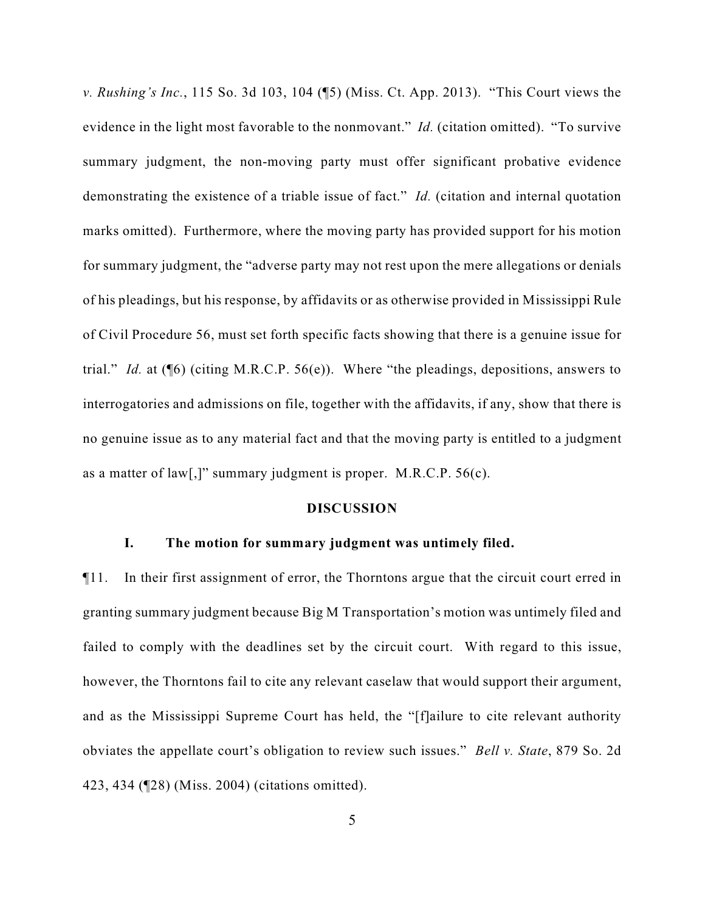*v. Rushing's Inc.*, 115 So. 3d 103, 104 (¶5) (Miss. Ct. App. 2013). "This Court views the evidence in the light most favorable to the nonmovant." *Id.* (citation omitted). "To survive summary judgment, the non-moving party must offer significant probative evidence demonstrating the existence of a triable issue of fact." *Id.* (citation and internal quotation marks omitted). Furthermore, where the moving party has provided support for his motion for summary judgment, the "adverse party may not rest upon the mere allegations or denials of his pleadings, but his response, by affidavits or as otherwise provided in Mississippi Rule of Civil Procedure 56, must set forth specific facts showing that there is a genuine issue for trial." *Id.* at (¶6) (citing M.R.C.P. 56(e)). Where "the pleadings, depositions, answers to interrogatories and admissions on file, together with the affidavits, if any, show that there is no genuine issue as to any material fact and that the moving party is entitled to a judgment as a matter of law[,]" summary judgment is proper. M.R.C.P. 56(c).

#### **DISCUSSION**

## **I. The motion for summary judgment was untimely filed.**

¶11. In their first assignment of error, the Thorntons argue that the circuit court erred in granting summary judgment because Big M Transportation's motion was untimely filed and failed to comply with the deadlines set by the circuit court. With regard to this issue, however, the Thorntons fail to cite any relevant caselaw that would support their argument, and as the Mississippi Supreme Court has held, the "[f]ailure to cite relevant authority obviates the appellate court's obligation to review such issues." *Bell v. State*, 879 So. 2d 423, 434 (¶28) (Miss. 2004) (citations omitted).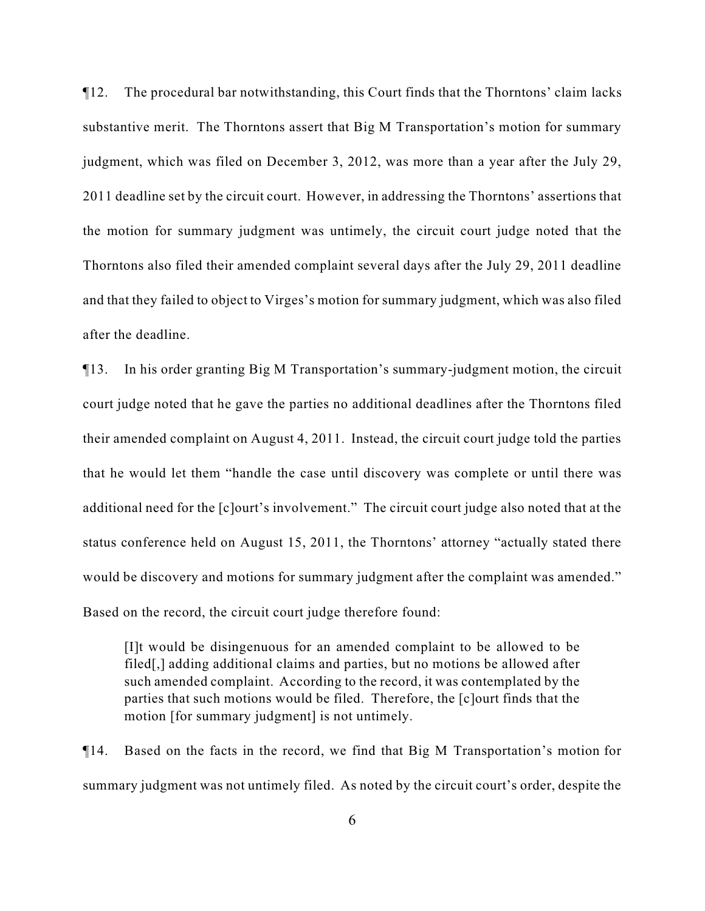¶12. The procedural bar notwithstanding, this Court finds that the Thorntons' claim lacks substantive merit. The Thorntons assert that Big M Transportation's motion for summary judgment, which was filed on December 3, 2012, was more than a year after the July 29, 2011 deadline set by the circuit court. However, in addressing the Thorntons' assertions that the motion for summary judgment was untimely, the circuit court judge noted that the Thorntons also filed their amended complaint several days after the July 29, 2011 deadline and that they failed to object to Virges's motion for summary judgment, which was also filed after the deadline.

¶13. In his order granting Big M Transportation's summary-judgment motion, the circuit court judge noted that he gave the parties no additional deadlines after the Thorntons filed their amended complaint on August 4, 2011. Instead, the circuit court judge told the parties that he would let them "handle the case until discovery was complete or until there was additional need for the [c]ourt's involvement." The circuit court judge also noted that at the status conference held on August 15, 2011, the Thorntons' attorney "actually stated there would be discovery and motions for summary judgment after the complaint was amended." Based on the record, the circuit court judge therefore found:

[I]t would be disingenuous for an amended complaint to be allowed to be filed[,] adding additional claims and parties, but no motions be allowed after such amended complaint. According to the record, it was contemplated by the parties that such motions would be filed. Therefore, the [c]ourt finds that the motion [for summary judgment] is not untimely.

¶14. Based on the facts in the record, we find that Big M Transportation's motion for summary judgment was not untimely filed. As noted by the circuit court's order, despite the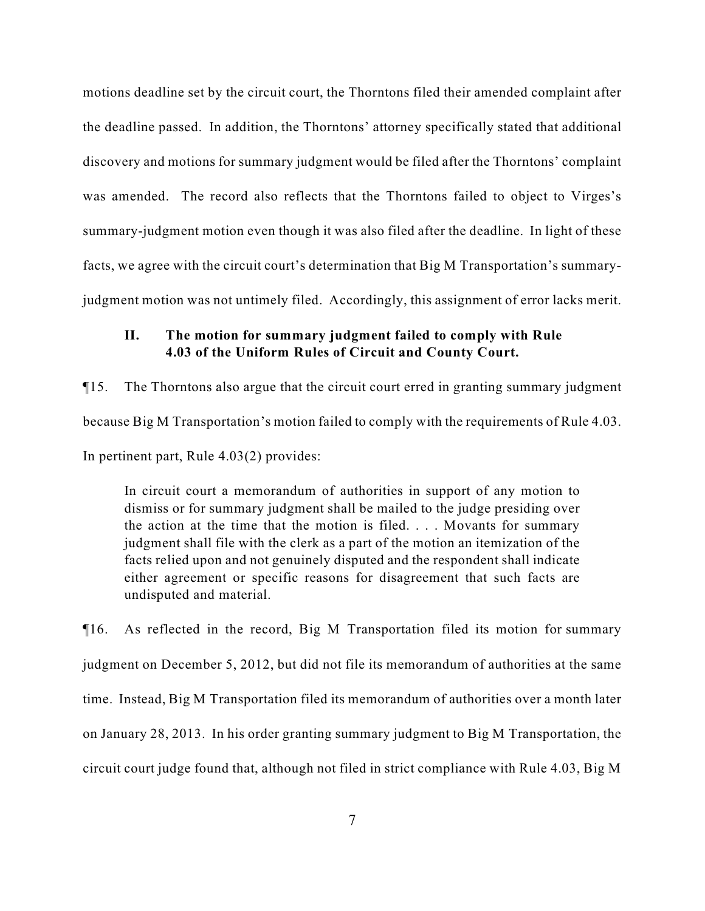motions deadline set by the circuit court, the Thorntons filed their amended complaint after the deadline passed. In addition, the Thorntons' attorney specifically stated that additional discovery and motions for summary judgment would be filed after the Thorntons' complaint was amended. The record also reflects that the Thorntons failed to object to Virges's summary-judgment motion even though it was also filed after the deadline. In light of these facts, we agree with the circuit court's determination that Big M Transportation's summaryjudgment motion was not untimely filed. Accordingly, this assignment of error lacks merit.

## **II. The motion for summary judgment failed to comply with Rule 4.03 of the Uniform Rules of Circuit and County Court.**

¶15. The Thorntons also argue that the circuit court erred in granting summary judgment because Big M Transportation's motion failed to comply with the requirements of Rule 4.03. In pertinent part, Rule 4.03(2) provides:

In circuit court a memorandum of authorities in support of any motion to dismiss or for summary judgment shall be mailed to the judge presiding over the action at the time that the motion is filed. . . . Movants for summary judgment shall file with the clerk as a part of the motion an itemization of the facts relied upon and not genuinely disputed and the respondent shall indicate either agreement or specific reasons for disagreement that such facts are undisputed and material.

¶16. As reflected in the record, Big M Transportation filed its motion for summary judgment on December 5, 2012, but did not file its memorandum of authorities at the same time. Instead, Big M Transportation filed its memorandum of authorities over a month later on January 28, 2013. In his order granting summary judgment to Big M Transportation, the circuit court judge found that, although not filed in strict compliance with Rule 4.03, Big M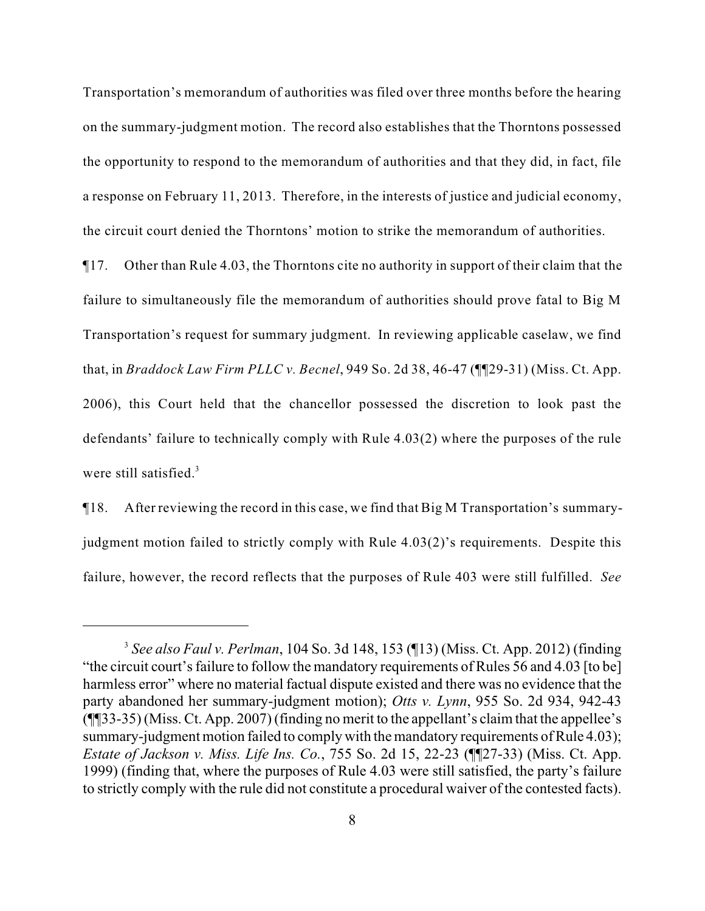Transportation's memorandum of authorities was filed over three months before the hearing on the summary-judgment motion. The record also establishes that the Thorntons possessed the opportunity to respond to the memorandum of authorities and that they did, in fact, file a response on February 11, 2013. Therefore, in the interests of justice and judicial economy, the circuit court denied the Thorntons' motion to strike the memorandum of authorities.

¶17. Other than Rule 4.03, the Thorntons cite no authority in support of their claim that the failure to simultaneously file the memorandum of authorities should prove fatal to Big M Transportation's request for summary judgment. In reviewing applicable caselaw, we find that, in *Braddock Law Firm PLLC v. Becnel*, 949 So. 2d 38, 46-47 (¶¶29-31) (Miss. Ct. App. 2006), this Court held that the chancellor possessed the discretion to look past the defendants' failure to technically comply with Rule 4.03(2) where the purposes of the rule were still satisfied. $3$ 

¶18. After reviewing the record in this case, we find that Big M Transportation's summaryjudgment motion failed to strictly comply with Rule 4.03(2)'s requirements. Despite this failure, however, the record reflects that the purposes of Rule 403 were still fulfilled. *See*

*See also Faul v. Perlman*, 104 So. 3d 148, 153 (¶13) (Miss. Ct. App. 2012) (finding <sup>3</sup> "the circuit court's failure to follow the mandatory requirements of Rules 56 and 4.03 [to be] harmless error" where no material factual dispute existed and there was no evidence that the party abandoned her summary-judgment motion); *Otts v. Lynn*, 955 So. 2d 934, 942-43 (¶¶33-35) (Miss. Ct. App. 2007) (finding no merit to the appellant's claim that the appellee's summary-judgment motion failed to comply with the mandatory requirements of Rule 4.03); *Estate of Jackson v. Miss. Life Ins. Co.*, 755 So. 2d 15, 22-23 (¶¶27-33) (Miss. Ct. App. 1999) (finding that, where the purposes of Rule 4.03 were still satisfied, the party's failure to strictly comply with the rule did not constitute a procedural waiver of the contested facts).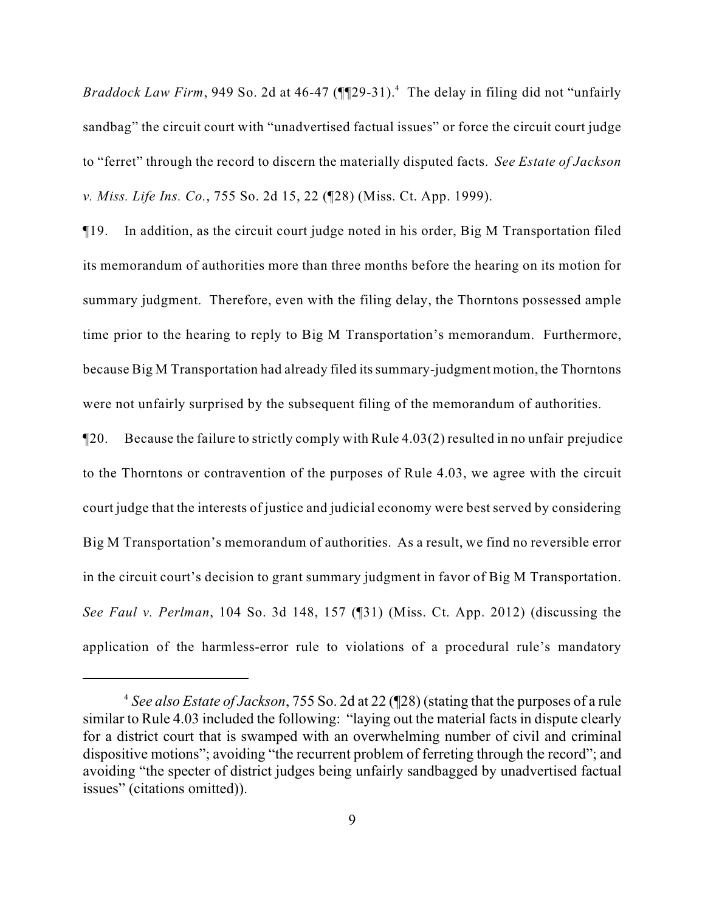*Braddock Law Firm*, 949 So. 2d at 46-47 ( $\P$  $[29-31]$ .<sup>4</sup> The delay in filing did not "unfairly sandbag" the circuit court with "unadvertised factual issues" or force the circuit court judge to "ferret" through the record to discern the materially disputed facts. *See Estate of Jackson v. Miss. Life Ins. Co.*, 755 So. 2d 15, 22 (¶28) (Miss. Ct. App. 1999).

¶19. In addition, as the circuit court judge noted in his order, Big M Transportation filed its memorandum of authorities more than three months before the hearing on its motion for summary judgment. Therefore, even with the filing delay, the Thorntons possessed ample time prior to the hearing to reply to Big M Transportation's memorandum. Furthermore, because Big M Transportation had already filed its summary-judgment motion, the Thorntons were not unfairly surprised by the subsequent filing of the memorandum of authorities.

¶20. Because the failure to strictly comply with Rule 4.03(2) resulted in no unfair prejudice to the Thorntons or contravention of the purposes of Rule 4.03, we agree with the circuit court judge that the interests of justice and judicial economy were best served by considering Big M Transportation's memorandum of authorities. As a result, we find no reversible error in the circuit court's decision to grant summary judgment in favor of Big M Transportation. *See Faul v. Perlman*, 104 So. 3d 148, 157 (¶31) (Miss. Ct. App. 2012) (discussing the application of the harmless-error rule to violations of a procedural rule's mandatory

*See also Estate of Jackson*, 755 So. 2d at 22 (¶28) (stating that the purposes of a rule <sup>4</sup> similar to Rule 4.03 included the following: "laying out the material facts in dispute clearly for a district court that is swamped with an overwhelming number of civil and criminal dispositive motions"; avoiding "the recurrent problem of ferreting through the record"; and avoiding "the specter of district judges being unfairly sandbagged by unadvertised factual issues" (citations omitted)).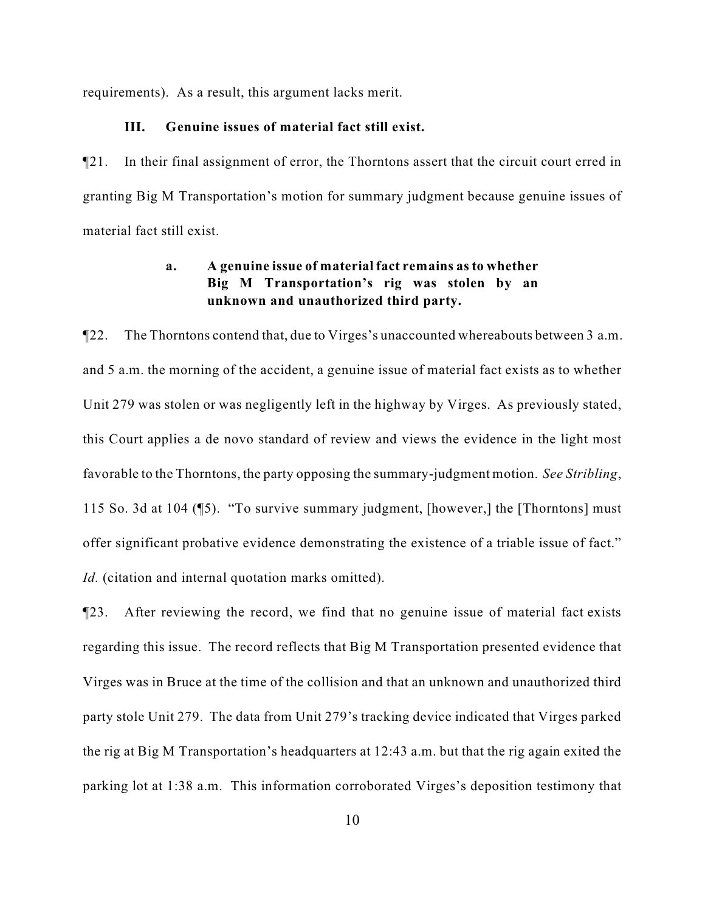requirements). As a result, this argument lacks merit.

## **III. Genuine issues of material fact still exist.**

¶21. In their final assignment of error, the Thorntons assert that the circuit court erred in granting Big M Transportation's motion for summary judgment because genuine issues of material fact still exist.

# **a. A genuine issue of material fact remains as to whether Big M Transportation's rig was stolen by an unknown and unauthorized third party.**

¶22. The Thorntons contend that, due to Virges's unaccounted whereabouts between 3 a.m. and 5 a.m. the morning of the accident, a genuine issue of material fact exists as to whether Unit 279 was stolen or was negligently left in the highway by Virges. As previously stated, this Court applies a de novo standard of review and views the evidence in the light most favorable to the Thorntons, the party opposing the summary-judgment motion. *See Stribling*, 115 So. 3d at 104 (¶5). "To survive summary judgment, [however,] the [Thorntons] must offer significant probative evidence demonstrating the existence of a triable issue of fact." *Id.* (citation and internal quotation marks omitted).

¶23. After reviewing the record, we find that no genuine issue of material fact exists regarding this issue. The record reflects that Big M Transportation presented evidence that Virges was in Bruce at the time of the collision and that an unknown and unauthorized third party stole Unit 279. The data from Unit 279's tracking device indicated that Virges parked the rig at Big M Transportation's headquarters at 12:43 a.m. but that the rig again exited the parking lot at 1:38 a.m. This information corroborated Virges's deposition testimony that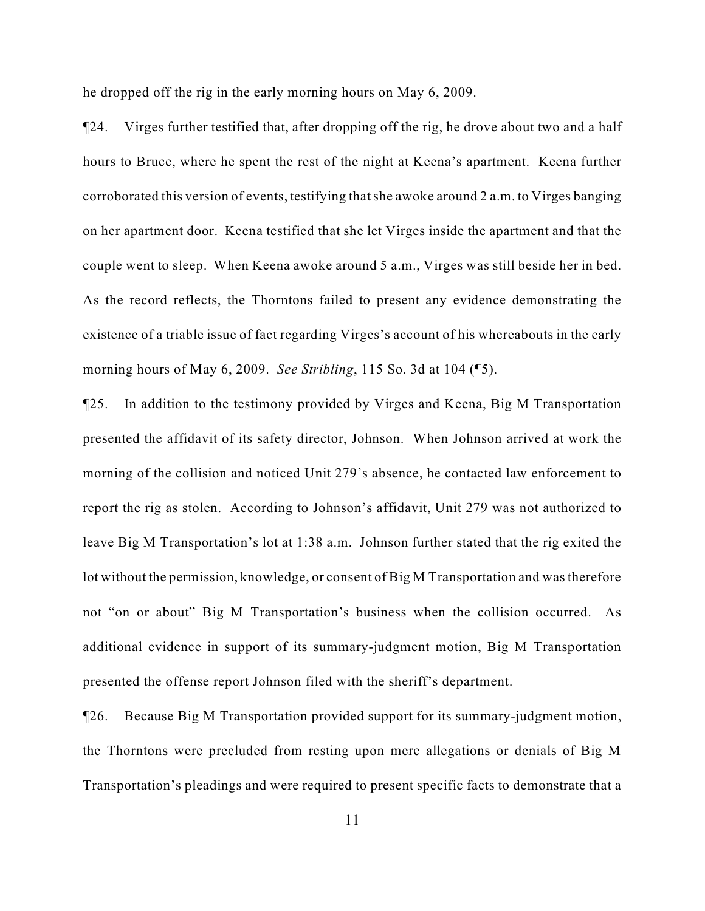he dropped off the rig in the early morning hours on May 6, 2009.

¶24. Virges further testified that, after dropping off the rig, he drove about two and a half hours to Bruce, where he spent the rest of the night at Keena's apartment. Keena further corroborated this version of events, testifying that she awoke around 2 a.m. to Virges banging on her apartment door. Keena testified that she let Virges inside the apartment and that the couple went to sleep. When Keena awoke around 5 a.m., Virges was still beside her in bed. As the record reflects, the Thorntons failed to present any evidence demonstrating the existence of a triable issue of fact regarding Virges's account of his whereabouts in the early morning hours of May 6, 2009. *See Stribling*, 115 So. 3d at 104 (¶5).

¶25. In addition to the testimony provided by Virges and Keena, Big M Transportation presented the affidavit of its safety director, Johnson. When Johnson arrived at work the morning of the collision and noticed Unit 279's absence, he contacted law enforcement to report the rig as stolen. According to Johnson's affidavit, Unit 279 was not authorized to leave Big M Transportation's lot at 1:38 a.m. Johnson further stated that the rig exited the lot without the permission, knowledge, or consent of Big M Transportation and was therefore not "on or about" Big M Transportation's business when the collision occurred. As additional evidence in support of its summary-judgment motion, Big M Transportation presented the offense report Johnson filed with the sheriff's department.

¶26. Because Big M Transportation provided support for its summary-judgment motion, the Thorntons were precluded from resting upon mere allegations or denials of Big M Transportation's pleadings and were required to present specific facts to demonstrate that a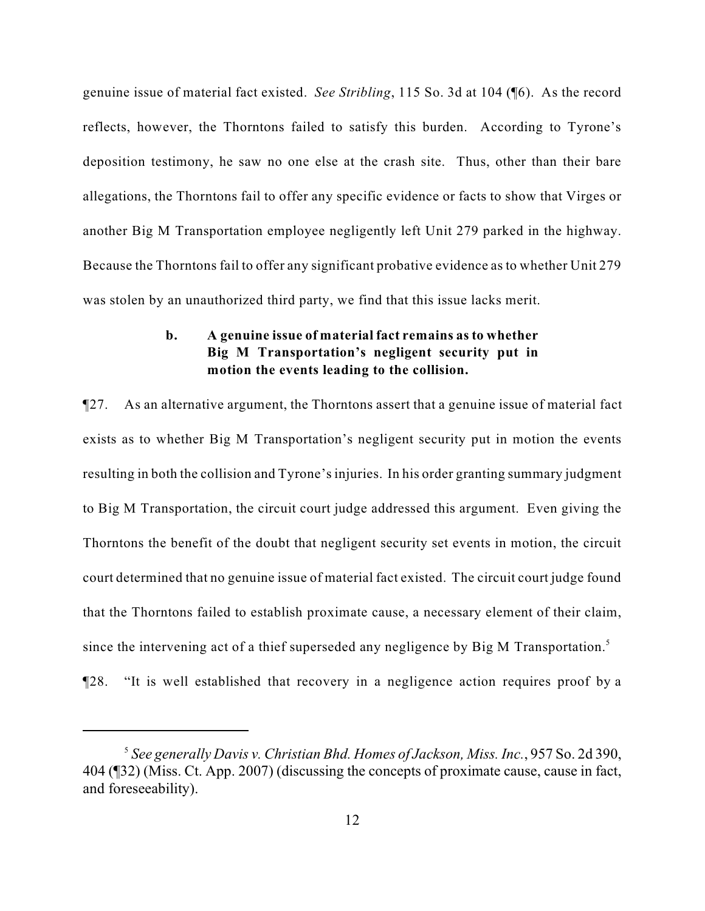genuine issue of material fact existed. *See Stribling*, 115 So. 3d at 104 (¶6). As the record reflects, however, the Thorntons failed to satisfy this burden. According to Tyrone's deposition testimony, he saw no one else at the crash site. Thus, other than their bare allegations, the Thorntons fail to offer any specific evidence or facts to show that Virges or another Big M Transportation employee negligently left Unit 279 parked in the highway. Because the Thorntons fail to offer any significant probative evidence as to whether Unit 279 was stolen by an unauthorized third party, we find that this issue lacks merit.

# **b. A genuine issue of material fact remains as to whether Big M Transportation's negligent security put in motion the events leading to the collision.**

¶27. As an alternative argument, the Thorntons assert that a genuine issue of material fact exists as to whether Big M Transportation's negligent security put in motion the events resulting in both the collision and Tyrone's injuries. In his order granting summary judgment to Big M Transportation, the circuit court judge addressed this argument. Even giving the Thorntons the benefit of the doubt that negligent security set events in motion, the circuit court determined that no genuine issue of material fact existed. The circuit court judge found that the Thorntons failed to establish proximate cause, a necessary element of their claim, since the intervening act of a thief superseded any negligence by Big M Transportation.<sup>5</sup>

¶28. "It is well established that recovery in a negligence action requires proof by a

*See generally Davis v. Christian Bhd. Homes of Jackson, Miss. Inc.*, 957 So. 2d 390, <sup>5</sup> 404 (¶32) (Miss. Ct. App. 2007) (discussing the concepts of proximate cause, cause in fact, and foreseeability).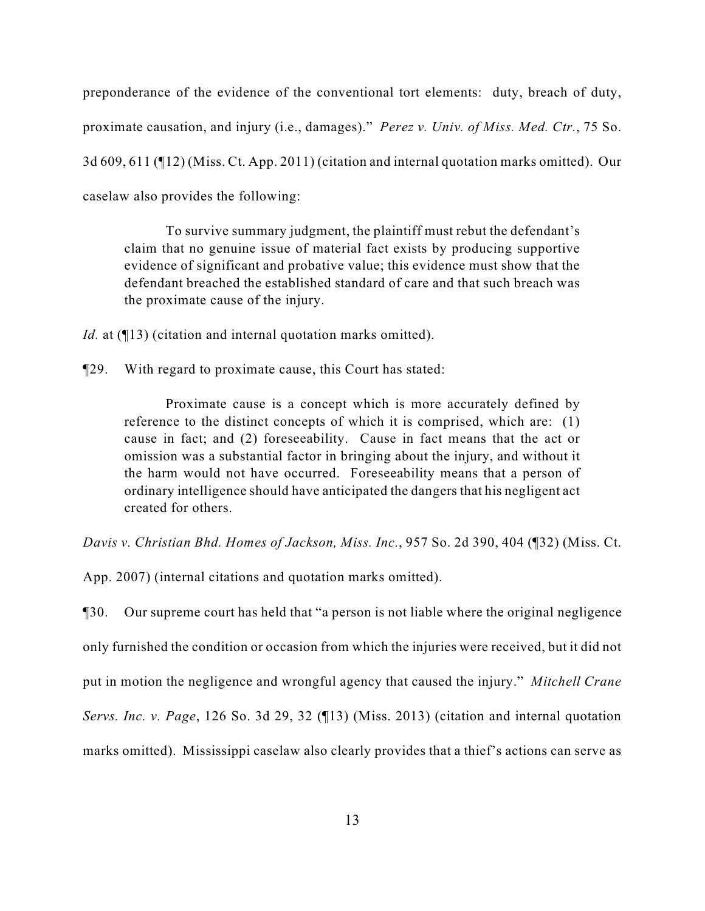preponderance of the evidence of the conventional tort elements: duty, breach of duty, proximate causation, and injury (i.e., damages)." *Perez v. Univ. of Miss. Med. Ctr.*, 75 So. 3d 609, 611 (¶12) (Miss. Ct. App. 2011) (citation and internal quotation marks omitted). Our caselaw also provides the following:

To survive summary judgment, the plaintiff must rebut the defendant's claim that no genuine issue of material fact exists by producing supportive evidence of significant and probative value; this evidence must show that the defendant breached the established standard of care and that such breach was the proximate cause of the injury.

*Id.* at (¶13) (citation and internal quotation marks omitted).

¶29. With regard to proximate cause, this Court has stated:

Proximate cause is a concept which is more accurately defined by reference to the distinct concepts of which it is comprised, which are: (1) cause in fact; and (2) foreseeability. Cause in fact means that the act or omission was a substantial factor in bringing about the injury, and without it the harm would not have occurred. Foreseeability means that a person of ordinary intelligence should have anticipated the dangers that his negligent act created for others.

*Davis v. Christian Bhd. Homes of Jackson, Miss. Inc.*, 957 So. 2d 390, 404 (¶32) (Miss. Ct.

App. 2007) (internal citations and quotation marks omitted).

¶30. Our supreme court has held that "a person is not liable where the original negligence only furnished the condition or occasion from which the injuries were received, but it did not put in motion the negligence and wrongful agency that caused the injury." *Mitchell Crane Servs. Inc. v. Page*, 126 So. 3d 29, 32 (¶13) (Miss. 2013) (citation and internal quotation marks omitted). Mississippi caselaw also clearly provides that a thief's actions can serve as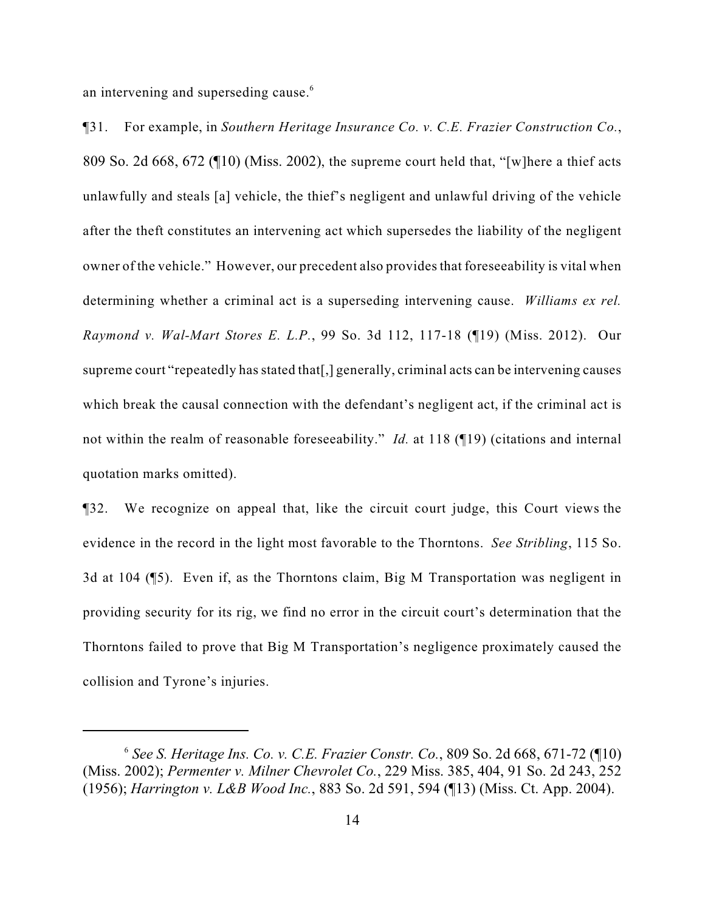an intervening and superseding cause.<sup>6</sup>

¶31. For example, in *Southern Heritage Insurance Co. v. C.E. Frazier Construction Co.*, 809 So. 2d 668, 672 (¶10) (Miss. 2002), the supreme court held that, "[w]here a thief acts unlawfully and steals [a] vehicle, the thief's negligent and unlawful driving of the vehicle after the theft constitutes an intervening act which supersedes the liability of the negligent owner of the vehicle." However, our precedent also provides that foreseeability is vital when determining whether a criminal act is a superseding intervening cause. *Williams ex rel. Raymond v. Wal-Mart Stores E. L.P.*, 99 So. 3d 112, 117-18 (¶19) (Miss. 2012). Our supreme court "repeatedly has stated that[,] generally, criminal acts can be intervening causes which break the causal connection with the defendant's negligent act, if the criminal act is not within the realm of reasonable foreseeability." *Id.* at 118 (¶19) (citations and internal quotation marks omitted).

¶32. We recognize on appeal that, like the circuit court judge, this Court views the evidence in the record in the light most favorable to the Thorntons. *See Stribling*, 115 So. 3d at 104 (¶5). Even if, as the Thorntons claim, Big M Transportation was negligent in providing security for its rig, we find no error in the circuit court's determination that the Thorntons failed to prove that Big M Transportation's negligence proximately caused the collision and Tyrone's injuries.

 $<sup>6</sup>$  See S. Heritage Ins. Co. v. C.E. Frazier Constr. Co., 809 So. 2d 668, 671-72 ( $\P$ 10)</sup> (Miss. 2002); *Permenter v. Milner Chevrolet Co.*, 229 Miss. 385, 404, 91 So. 2d 243, 252 (1956); *Harrington v. L&B Wood Inc.*, 883 So. 2d 591, 594 (¶13) (Miss. Ct. App. 2004).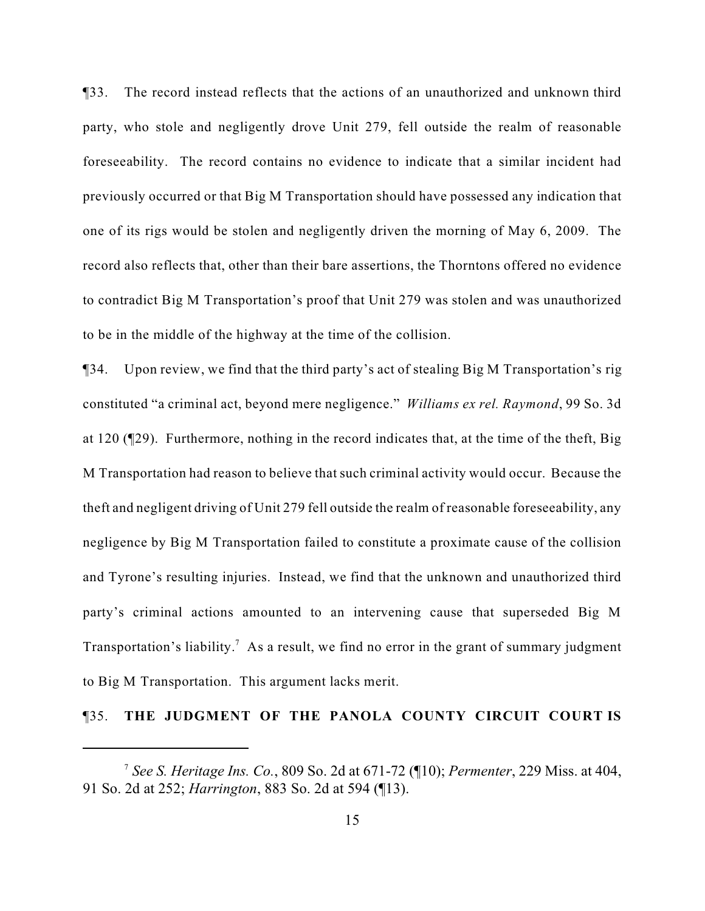¶33. The record instead reflects that the actions of an unauthorized and unknown third party, who stole and negligently drove Unit 279, fell outside the realm of reasonable foreseeability. The record contains no evidence to indicate that a similar incident had previously occurred or that Big M Transportation should have possessed any indication that one of its rigs would be stolen and negligently driven the morning of May 6, 2009. The record also reflects that, other than their bare assertions, the Thorntons offered no evidence to contradict Big M Transportation's proof that Unit 279 was stolen and was unauthorized to be in the middle of the highway at the time of the collision.

¶34. Upon review, we find that the third party's act of stealing Big M Transportation's rig constituted "a criminal act, beyond mere negligence." *Williams ex rel. Raymond*, 99 So. 3d at 120 (¶29). Furthermore, nothing in the record indicates that, at the time of the theft, Big M Transportation had reason to believe that such criminal activity would occur. Because the theft and negligent driving of Unit 279 fell outside the realm of reasonable foreseeability, any negligence by Big M Transportation failed to constitute a proximate cause of the collision and Tyrone's resulting injuries. Instead, we find that the unknown and unauthorized third party's criminal actions amounted to an intervening cause that superseded Big M Transportation's liability.<sup>7</sup> As a result, we find no error in the grant of summary judgment to Big M Transportation. This argument lacks merit.

### ¶35. **THE JUDGMENT OF THE PANOLA COUNTY CIRCUIT COURT IS**

*See S. Heritage Ins. Co.*, 809 So. 2d at 671-72 (¶10); *Permenter*, 229 Miss. at 404, <sup>7</sup> 91 So. 2d at 252; *Harrington*, 883 So. 2d at 594 (¶13).